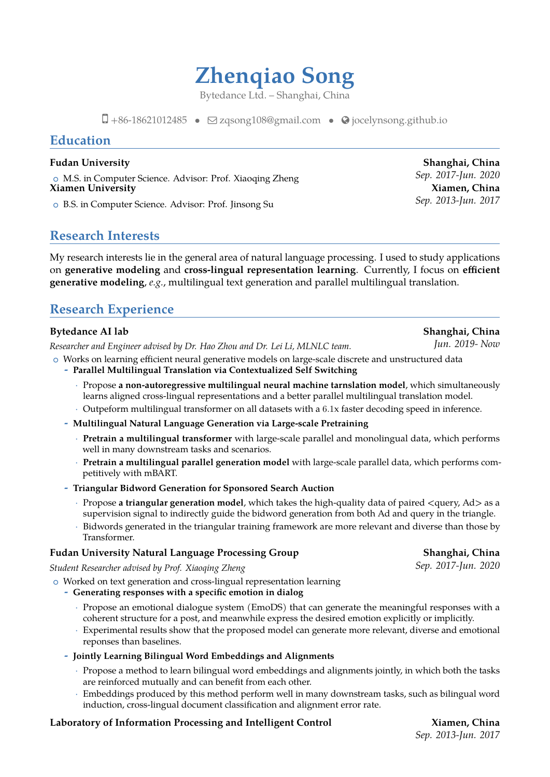# **Zhenqiao Song**

Bytedance Ltd. – Shanghai, China

 $\Box$  +86-18621012485 •  $\Box$  [zqsong108@gmail.com](mailto:zqsong108@gmail.com) •  $\odot$  [jocelynsong.github.io](http://jocelynsong.github.io)

# **Education**

*Sep. 2017-Jun. 2020* <sup>+</sup> M.S. in Computer Science. Advisor: Prof. Xiaoqing Zheng **Xiamen University** 

**o** B.S. in Computer Science. Advisor: Prof. Jinsong Su Sep. 2013-Jun. 2017

# **Research Interests**

My research interests lie in the general area of natural language processing. I used to study applications on **generative modeling** and **cross-lingual representation learning**. Currently, I focus on **efficient generative modeling**, *e.g.*, multilingual text generation and parallel multilingual translation.

# **Research Experience**

### Bytedance AI lab Shanghai, China

*Researcher and Engineer advised by Dr. Hao Zhou and Dr. Lei Li, MLNLC team. Jun. 2019- Now*

<sup>+</sup> Works on learning efficient neural generative models on large-scale discrete and unstructured data

- **- Parallel Multilingual Translation via Contextualized Self Switching**
	- · Propose **a non-autoregressive multilingual neural machine tarnslation model**, which simultaneously learns aligned cross-lingual representations and a better parallel multilingual translation model.
	- · Outpeform multilingual transformer on all datasets with a 6*.*1x faster decoding speed in inference.
- **- Multilingual Natural Language Generation via Large-scale Pretraining**
	- · **Pretrain a multilingual transformer** with large-scale parallel and monolingual data, which performs well in many downstream tasks and scenarios.
	- · **Pretrain a multilingual parallel generation model** with large-scale parallel data, which performs competitively with mBART.
- **- Triangular Bidword Generation for Sponsored Search Auction**
	- · Propose **a triangular generation model**, which takes the high-quality data of paired <query, Ad> as a supervision signal to indirectly guide the bidword generation from both Ad and query in the triangle.
	- Bidwords generated in the triangular training framework are more relevant and diverse than those by Transformer.

### **Fudan University Natural Language Processing Group Shanghai, China**

*Student Researcher advised by Prof. Xiaoqing Zheng Sep. 2017-Jun. 2020*

- o Worked on text generation and cross-lingual representation learning
	- **- Generating responses with a specific emotion in dialog**
		- Propose an emotional dialogue system (EmoDS) that can generate the meaningful responses with a coherent structure for a post, and meanwhile express the desired emotion explicitly or implicitly.
		- Experimental results show that the proposed model can generate more relevant, diverse and emotional reponses than baselines.
	- **- Jointly Learning Bilingual Word Embeddings and Alignments**
		- Propose a method to learn bilingual word embeddings and alignments jointly, in which both the tasks are reinforced mutually and can benefit from each other.
		- · Embeddings produced by this method perform well in many downstream tasks, such as bilingual word induction, cross-lingual document classification and alignment error rate.

### **Laboratory of Information Processing and Intelligent Control Xiamen, China**

*Sep. 2013-Jun. 2017*

**Fudan University Shanghai, China**